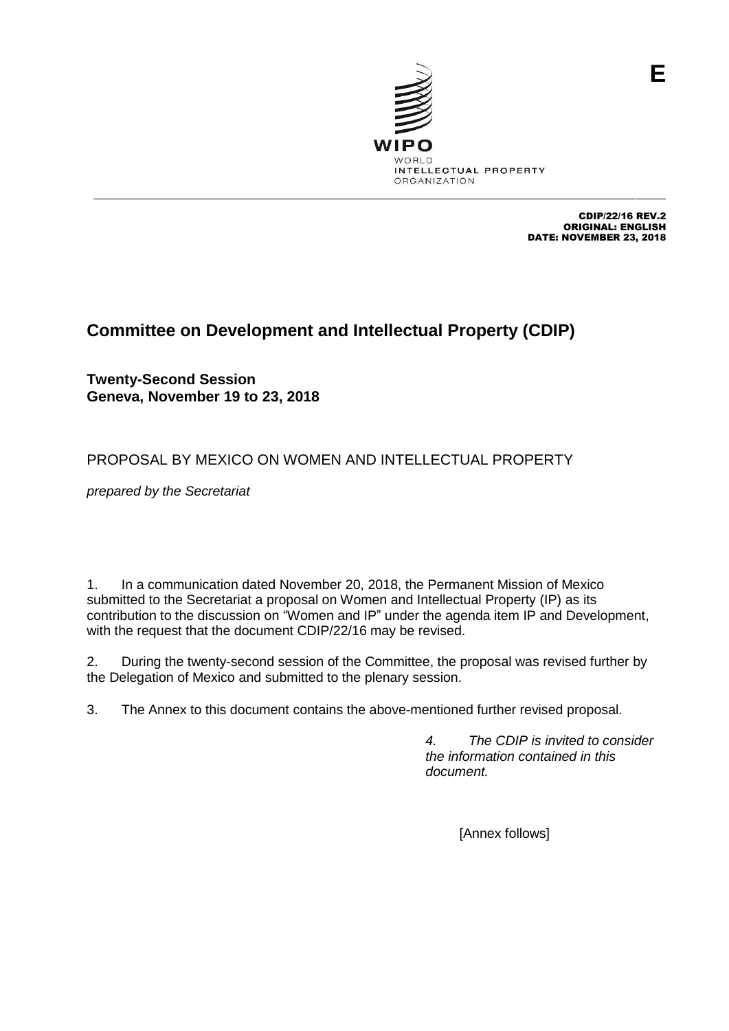

CDIP/22/16 REV.2 ORIGINAL: ENGLISH DATE: NOVEMBER 23, 2018

## **Committee on Development and Intellectual Property (CDIP)**

**Twenty-Second Session Geneva, November 19 to 23, 2018**

PROPOSAL BY MEXICO ON WOMEN AND INTELLECTUAL PROPERTY

*prepared by the Secretariat*

1. In a communication dated November 20, 2018, the Permanent Mission of Mexico submitted to the Secretariat a proposal on Women and Intellectual Property (IP) as its contribution to the discussion on "Women and IP" under the agenda item IP and Development, with the request that the document CDIP/22/16 may be revised.

2. During the twenty-second session of the Committee, the proposal was revised further by the Delegation of Mexico and submitted to the plenary session.

3. The Annex to this document contains the above-mentioned further revised proposal.

*4. The CDIP is invited to consider the information contained in this document.*

[Annex follows]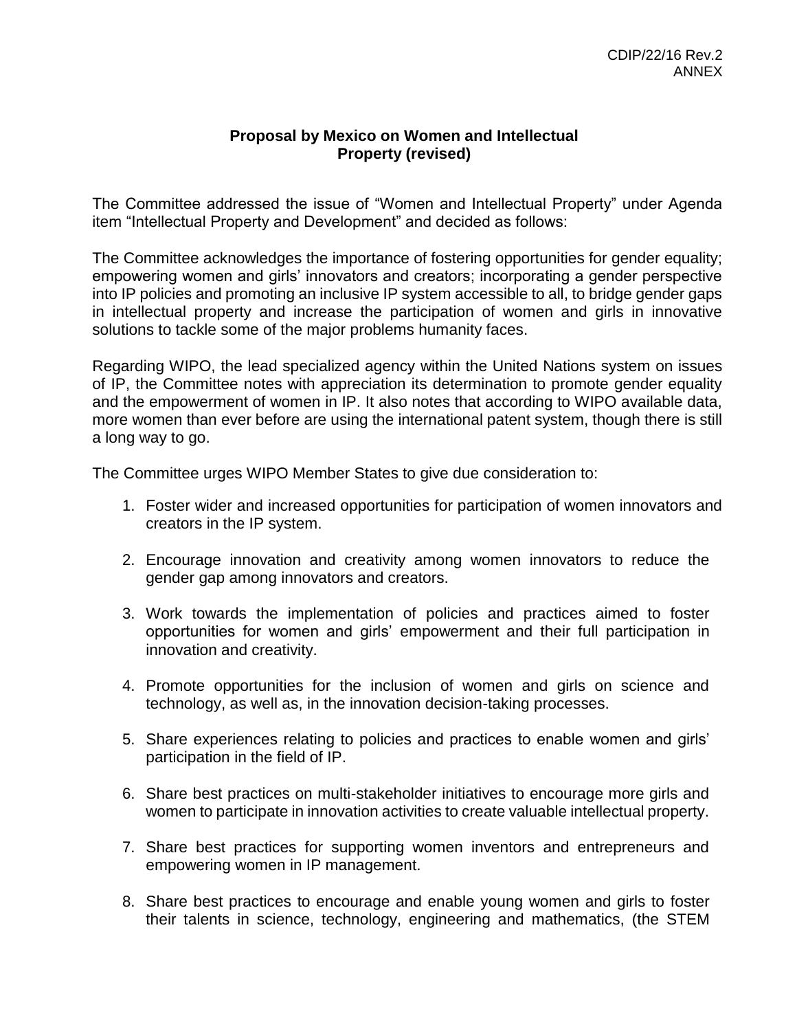## **Proposal by Mexico on Women and Intellectual Property (revised)**

The Committee addressed the issue of "Women and Intellectual Property" under Agenda item "Intellectual Property and Development" and decided as follows:

The Committee acknowledges the importance of fostering opportunities for gender equality; empowering women and girls' innovators and creators; incorporating a gender perspective into IP policies and promoting an inclusive IP system accessible to all, to bridge gender gaps in intellectual property and increase the participation of women and girls in innovative solutions to tackle some of the major problems humanity faces.

Regarding WIPO, the lead specialized agency within the United Nations system on issues of IP, the Committee notes with appreciation its determination to promote gender equality and the empowerment of women in IP. It also notes that according to WIPO available data, more women than ever before are using the international patent system, though there is still a long way to go.

The Committee urges WIPO Member States to give due consideration to:

- 1. Foster wider and increased opportunities for participation of women innovators and creators in the IP system.
- 2. Encourage innovation and creativity among women innovators to reduce the gender gap among innovators and creators.
- 3. Work towards the implementation of policies and practices aimed to foster opportunities for women and girls' empowerment and their full participation in innovation and creativity.
- 4. Promote opportunities for the inclusion of women and girls on science and technology, as well as, in the innovation decision-taking processes.
- 5. Share experiences relating to policies and practices to enable women and girls' participation in the field of IP.
- 6. Share best practices on multi-stakeholder initiatives to encourage more girls and women to participate in innovation activities to create valuable intellectual property.
- 7. Share best practices for supporting women inventors and entrepreneurs and empowering women in IP management.
- 8. Share best practices to encourage and enable young women and girls to foster their talents in science, technology, engineering and mathematics, (the STEM